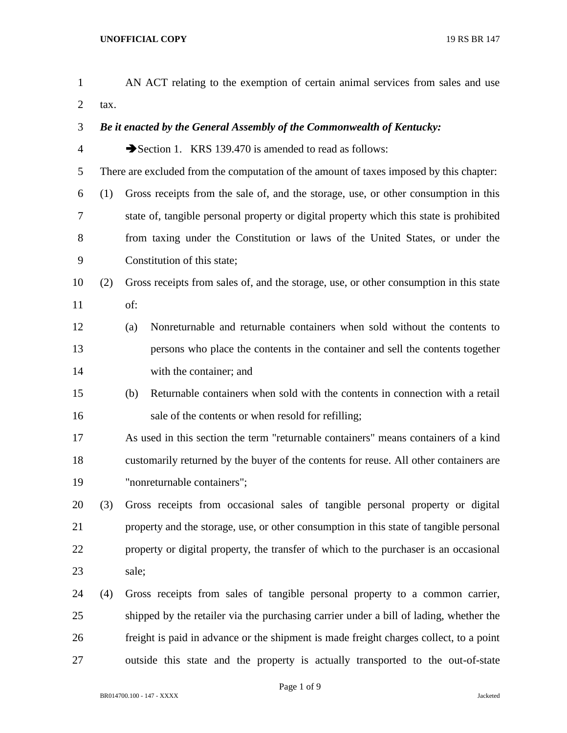| $\mathbf{1}$   |      | AN ACT relating to the exemption of certain animal services from sales and use          |
|----------------|------|-----------------------------------------------------------------------------------------|
| $\overline{2}$ | tax. |                                                                                         |
| 3              |      | Be it enacted by the General Assembly of the Commonwealth of Kentucky:                  |
| $\overline{4}$ |      | Section 1. KRS 139.470 is amended to read as follows:                                   |
| 5              |      | There are excluded from the computation of the amount of taxes imposed by this chapter: |
| 6              | (1)  | Gross receipts from the sale of, and the storage, use, or other consumption in this     |
| 7              |      | state of, tangible personal property or digital property which this state is prohibited |
| 8              |      | from taxing under the Constitution or laws of the United States, or under the           |
| 9              |      | Constitution of this state;                                                             |
| 10             | (2)  | Gross receipts from sales of, and the storage, use, or other consumption in this state  |
| 11             |      | of:                                                                                     |
| 12             |      | Nonreturnable and returnable containers when sold without the contents to<br>(a)        |
| 13             |      | persons who place the contents in the container and sell the contents together          |
| 14             |      | with the container; and                                                                 |
| 15             |      | Returnable containers when sold with the contents in connection with a retail<br>(b)    |
| 16             |      | sale of the contents or when resold for refilling;                                      |
| 17             |      | As used in this section the term "returnable containers" means containers of a kind     |
| 18             |      | customarily returned by the buyer of the contents for reuse. All other containers are   |
| 19             |      | "nonreturnable containers";                                                             |
| 20             | (3)  | Gross receipts from occasional sales of tangible personal property or digital           |
| 21             |      | property and the storage, use, or other consumption in this state of tangible personal  |
| 22             |      | property or digital property, the transfer of which to the purchaser is an occasional   |
| 23             |      | sale;                                                                                   |
| 24             | (4)  | Gross receipts from sales of tangible personal property to a common carrier,            |
| 25             |      | shipped by the retailer via the purchasing carrier under a bill of lading, whether the  |
| 26             |      | freight is paid in advance or the shipment is made freight charges collect, to a point  |
| 27             |      | outside this state and the property is actually transported to the out-of-state         |

Page 1 of 9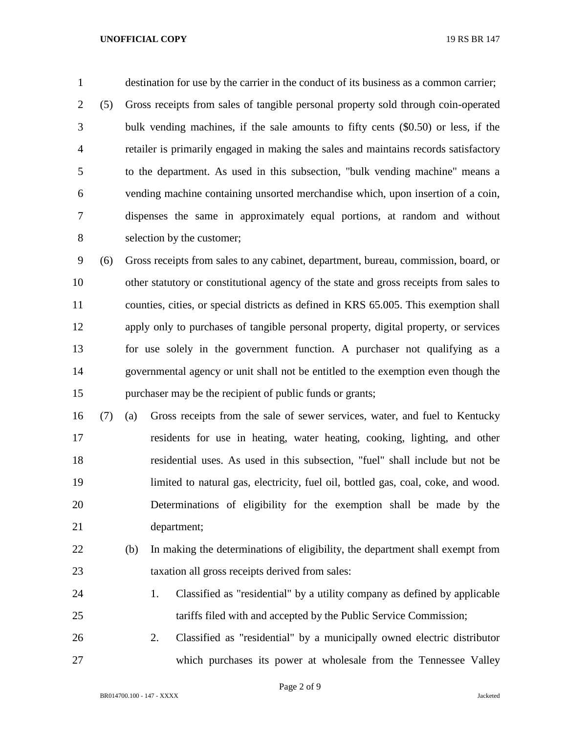## **UNOFFICIAL COPY** 19 RS BR 147

 destination for use by the carrier in the conduct of its business as a common carrier; (5) Gross receipts from sales of tangible personal property sold through coin-operated bulk vending machines, if the sale amounts to fifty cents (\$0.50) or less, if the retailer is primarily engaged in making the sales and maintains records satisfactory to the department. As used in this subsection, "bulk vending machine" means a vending machine containing unsorted merchandise which, upon insertion of a coin, dispenses the same in approximately equal portions, at random and without selection by the customer;

 (6) Gross receipts from sales to any cabinet, department, bureau, commission, board, or other statutory or constitutional agency of the state and gross receipts from sales to counties, cities, or special districts as defined in KRS 65.005. This exemption shall apply only to purchases of tangible personal property, digital property, or services for use solely in the government function. A purchaser not qualifying as a governmental agency or unit shall not be entitled to the exemption even though the purchaser may be the recipient of public funds or grants;

- (7) (a) Gross receipts from the sale of sewer services, water, and fuel to Kentucky residents for use in heating, water heating, cooking, lighting, and other residential uses. As used in this subsection, "fuel" shall include but not be 19 limited to natural gas, electricity, fuel oil, bottled gas, coal, coke, and wood. Determinations of eligibility for the exemption shall be made by the department;
- (b) In making the determinations of eligibility, the department shall exempt from taxation all gross receipts derived from sales:
- 1. Classified as "residential" by a utility company as defined by applicable tariffs filed with and accepted by the Public Service Commission;
- 2. Classified as "residential" by a municipally owned electric distributor which purchases its power at wholesale from the Tennessee Valley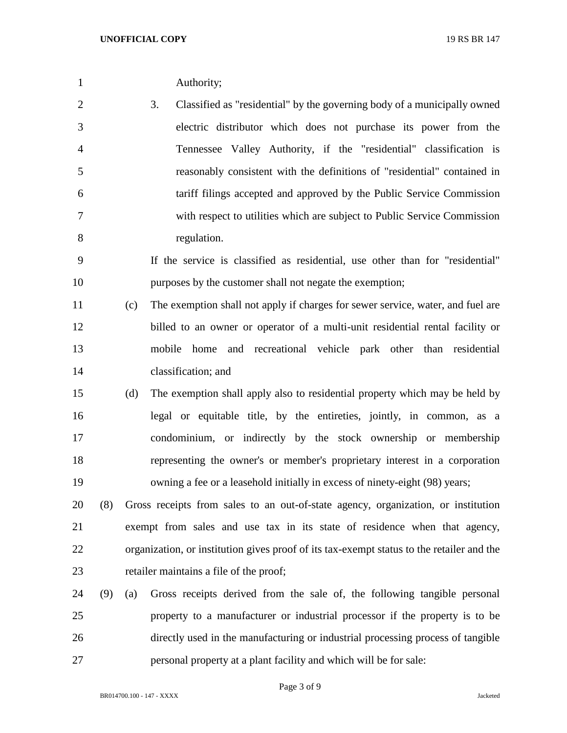- 3. Classified as "residential" by the governing body of a municipally owned electric distributor which does not purchase its power from the Tennessee Valley Authority, if the "residential" classification is reasonably consistent with the definitions of "residential" contained in tariff filings accepted and approved by the Public Service Commission with respect to utilities which are subject to Public Service Commission regulation.
- If the service is classified as residential, use other than for "residential" purposes by the customer shall not negate the exemption;
- (c) The exemption shall not apply if charges for sewer service, water, and fuel are billed to an owner or operator of a multi-unit residential rental facility or mobile home and recreational vehicle park other than residential classification; and
- (d) The exemption shall apply also to residential property which may be held by legal or equitable title, by the entireties, jointly, in common, as a condominium, or indirectly by the stock ownership or membership representing the owner's or member's proprietary interest in a corporation owning a fee or a leasehold initially in excess of ninety-eight (98) years;
- (8) Gross receipts from sales to an out-of-state agency, organization, or institution exempt from sales and use tax in its state of residence when that agency, organization, or institution gives proof of its tax-exempt status to the retailer and the retailer maintains a file of the proof;
- (9) (a) Gross receipts derived from the sale of, the following tangible personal property to a manufacturer or industrial processor if the property is to be directly used in the manufacturing or industrial processing process of tangible personal property at a plant facility and which will be for sale: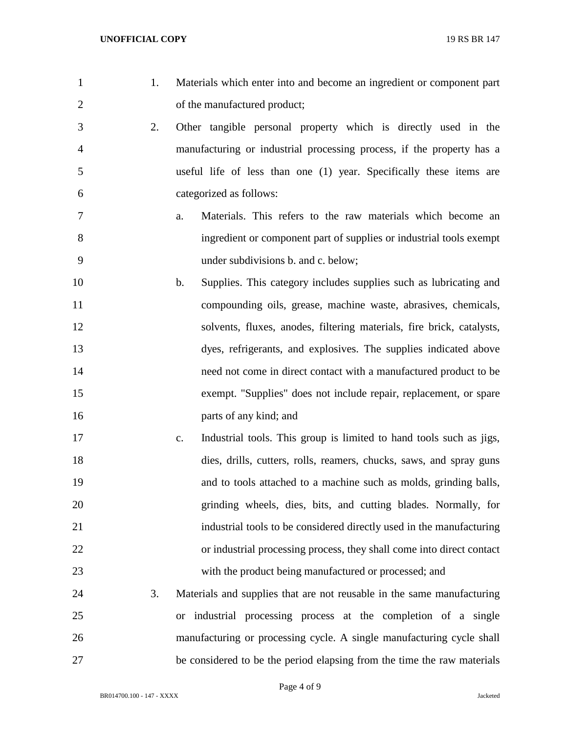- 
- 1. Materials which enter into and become an ingredient or component part 2 of the manufactured product;
- 2. Other tangible personal property which is directly used in the manufacturing or industrial processing process, if the property has a useful life of less than one (1) year. Specifically these items are categorized as follows:
- a. Materials. This refers to the raw materials which become an ingredient or component part of supplies or industrial tools exempt under subdivisions b. and c. below;
- b. Supplies. This category includes supplies such as lubricating and compounding oils, grease, machine waste, abrasives, chemicals, solvents, fluxes, anodes, filtering materials, fire brick, catalysts, dyes, refrigerants, and explosives. The supplies indicated above need not come in direct contact with a manufactured product to be exempt. "Supplies" does not include repair, replacement, or spare parts of any kind; and
- c. Industrial tools. This group is limited to hand tools such as jigs, dies, drills, cutters, rolls, reamers, chucks, saws, and spray guns and to tools attached to a machine such as molds, grinding balls, grinding wheels, dies, bits, and cutting blades. Normally, for industrial tools to be considered directly used in the manufacturing or industrial processing process, they shall come into direct contact with the product being manufactured or processed; and
- 3. Materials and supplies that are not reusable in the same manufacturing or industrial processing process at the completion of a single manufacturing or processing cycle. A single manufacturing cycle shall be considered to be the period elapsing from the time the raw materials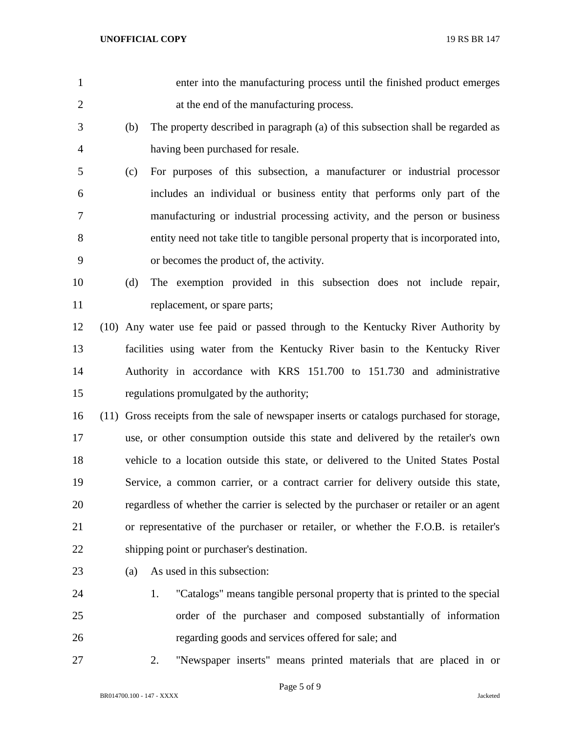| $\mathbf{1}$   |     | enter into the manufacturing process until the finished product emerges                   |
|----------------|-----|-------------------------------------------------------------------------------------------|
| $\overline{2}$ |     | at the end of the manufacturing process.                                                  |
| 3              | (b) | The property described in paragraph (a) of this subsection shall be regarded as           |
| 4              |     | having been purchased for resale.                                                         |
| 5              | (c) | For purposes of this subsection, a manufacturer or industrial processor                   |
| 6              |     | includes an individual or business entity that performs only part of the                  |
| 7              |     | manufacturing or industrial processing activity, and the person or business               |
| 8              |     | entity need not take title to tangible personal property that is incorporated into,       |
| 9              |     | or becomes the product of, the activity.                                                  |
| 10             | (d) | The exemption provided in this subsection does not include repair,                        |
| 11             |     | replacement, or spare parts;                                                              |
| 12             |     | (10) Any water use fee paid or passed through to the Kentucky River Authority by          |
| 13             |     | facilities using water from the Kentucky River basin to the Kentucky River                |
| 14             |     | Authority in accordance with KRS 151.700 to 151.730 and administrative                    |
| 15             |     | regulations promulgated by the authority;                                                 |
| 16             |     | (11) Gross receipts from the sale of newspaper inserts or catalogs purchased for storage, |
| 17             |     | use, or other consumption outside this state and delivered by the retailer's own          |
| 18             |     | vehicle to a location outside this state, or delivered to the United States Postal        |
| 19             |     | Service, a common carrier, or a contract carrier for delivery outside this state,         |
| 20             |     | regardless of whether the carrier is selected by the purchaser or retailer or an agent    |
| 21             |     | or representative of the purchaser or retailer, or whether the F.O.B. is retailer's       |
| 22             |     | shipping point or purchaser's destination.                                                |
| 23             | (a) | As used in this subsection:                                                               |
| 24             |     | "Catalogs" means tangible personal property that is printed to the special<br>1.          |
| 25             |     | order of the purchaser and composed substantially of information                          |
| 26             |     | regarding goods and services offered for sale; and                                        |
| 27             |     | "Newspaper inserts" means printed materials that are placed in or<br>2.                   |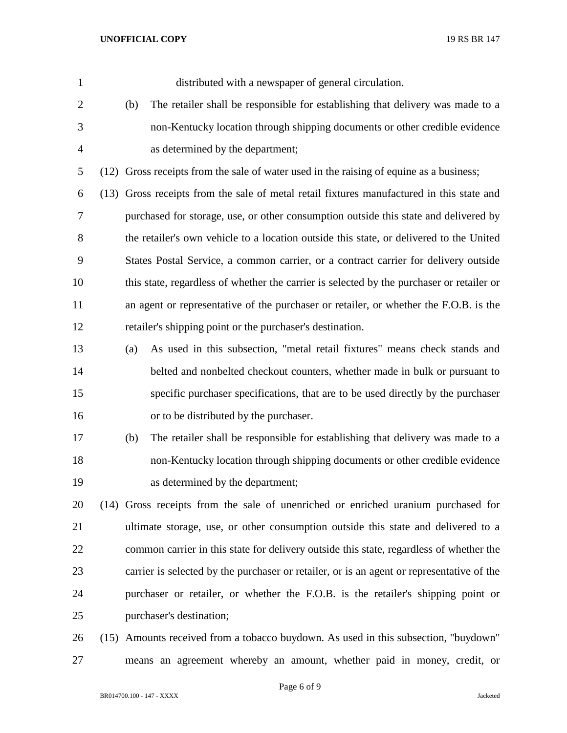| $\mathbf{1}$   |     | distributed with a newspaper of general circulation.                                      |
|----------------|-----|-------------------------------------------------------------------------------------------|
| $\overline{c}$ | (b) | The retailer shall be responsible for establishing that delivery was made to a            |
| 3              |     | non-Kentucky location through shipping documents or other credible evidence               |
| $\overline{4}$ |     | as determined by the department;                                                          |
| 5              |     | (12) Gross receipts from the sale of water used in the raising of equine as a business;   |
| 6              |     | (13) Gross receipts from the sale of metal retail fixtures manufactured in this state and |
| 7              |     | purchased for storage, use, or other consumption outside this state and delivered by      |
| $8\,$          |     | the retailer's own vehicle to a location outside this state, or delivered to the United   |
| 9              |     | States Postal Service, a common carrier, or a contract carrier for delivery outside       |
| 10             |     | this state, regardless of whether the carrier is selected by the purchaser or retailer or |
| 11             |     | an agent or representative of the purchaser or retailer, or whether the F.O.B. is the     |
| 12             |     | retailer's shipping point or the purchaser's destination.                                 |
| 13             | (a) | As used in this subsection, "metal retail fixtures" means check stands and                |
| 14             |     | belted and nonbelted checkout counters, whether made in bulk or pursuant to               |
| 15             |     | specific purchaser specifications, that are to be used directly by the purchaser          |
| 16             |     | or to be distributed by the purchaser.                                                    |
| 17             | (b) | The retailer shall be responsible for establishing that delivery was made to a            |
| 18             |     | non-Kentucky location through shipping documents or other credible evidence               |
| 19             |     | as determined by the department;                                                          |
| 20             |     | (14) Gross receipts from the sale of unenriched or enriched uranium purchased for         |
| 21             |     | ultimate storage, use, or other consumption outside this state and delivered to a         |
| 22             |     | common carrier in this state for delivery outside this state, regardless of whether the   |
| 23             |     | carrier is selected by the purchaser or retailer, or is an agent or representative of the |
| 24             |     | purchaser or retailer, or whether the F.O.B. is the retailer's shipping point or          |
| 25             |     | purchaser's destination;                                                                  |
| 26             |     | (15) Amounts received from a tobacco buydown. As used in this subsection, "buydown"       |

means an agreement whereby an amount, whether paid in money, credit, or

Page 6 of 9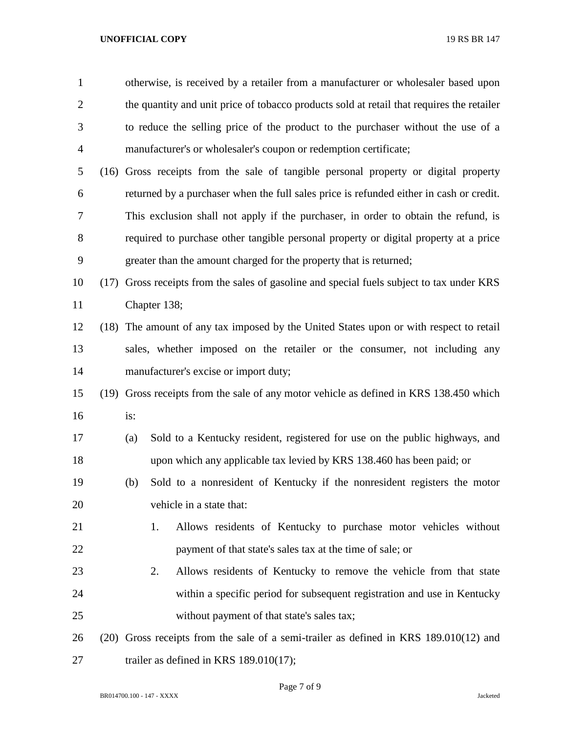## **UNOFFICIAL COPY** 19 RS BR 147

| $\mathbf{1}$   |      |                                                                                        |                                       | otherwise, is received by a retailer from a manufacturer or wholesaler based upon         |  |  |
|----------------|------|----------------------------------------------------------------------------------------|---------------------------------------|-------------------------------------------------------------------------------------------|--|--|
| $\overline{2}$ |      |                                                                                        |                                       | the quantity and unit price of tobacco products sold at retail that requires the retailer |  |  |
| 3              |      |                                                                                        |                                       | to reduce the selling price of the product to the purchaser without the use of a          |  |  |
| $\overline{4}$ |      |                                                                                        |                                       | manufacturer's or wholesaler's coupon or redemption certificate;                          |  |  |
| 5              |      |                                                                                        |                                       | (16) Gross receipts from the sale of tangible personal property or digital property       |  |  |
| 6              |      |                                                                                        |                                       | returned by a purchaser when the full sales price is refunded either in cash or credit.   |  |  |
| 7              |      |                                                                                        |                                       | This exclusion shall not apply if the purchaser, in order to obtain the refund, is        |  |  |
| 8              |      |                                                                                        |                                       | required to purchase other tangible personal property or digital property at a price      |  |  |
| 9              |      |                                                                                        |                                       | greater than the amount charged for the property that is returned;                        |  |  |
| 10             | (17) |                                                                                        |                                       | Gross receipts from the sales of gasoline and special fuels subject to tax under KRS      |  |  |
| 11             |      |                                                                                        | Chapter 138;                          |                                                                                           |  |  |
| 12             |      | (18) The amount of any tax imposed by the United States upon or with respect to retail |                                       |                                                                                           |  |  |
| 13             |      |                                                                                        |                                       | sales, whether imposed on the retailer or the consumer, not including any                 |  |  |
| 14             |      |                                                                                        | manufacturer's excise or import duty; |                                                                                           |  |  |
| 15             |      |                                                                                        |                                       | (19) Gross receipts from the sale of any motor vehicle as defined in KRS 138.450 which    |  |  |
| 16             |      | is:                                                                                    |                                       |                                                                                           |  |  |
| 17             |      | (a)                                                                                    |                                       | Sold to a Kentucky resident, registered for use on the public highways, and               |  |  |
| 18             |      |                                                                                        |                                       | upon which any applicable tax levied by KRS 138.460 has been paid; or                     |  |  |
| 19             |      | (b)                                                                                    |                                       | Sold to a nonresident of Kentucky if the nonresident registers the motor                  |  |  |
| 20             |      |                                                                                        |                                       | vehicle in a state that:                                                                  |  |  |
| 21             |      |                                                                                        | 1.                                    | Allows residents of Kentucky to purchase motor vehicles without                           |  |  |
| 22             |      |                                                                                        |                                       | payment of that state's sales tax at the time of sale; or                                 |  |  |
| 23             |      |                                                                                        | 2.                                    | Allows residents of Kentucky to remove the vehicle from that state                        |  |  |
| 24             |      |                                                                                        |                                       | within a specific period for subsequent registration and use in Kentucky                  |  |  |
| 25             |      |                                                                                        |                                       | without payment of that state's sales tax;                                                |  |  |
| 26             |      |                                                                                        |                                       | $(20)$ Gross receipts from the sale of a semi-trailer as defined in KRS 189.010(12) and   |  |  |
| 27             |      |                                                                                        |                                       | trailer as defined in KRS $189.010(17)$ ;                                                 |  |  |

Page 7 of 9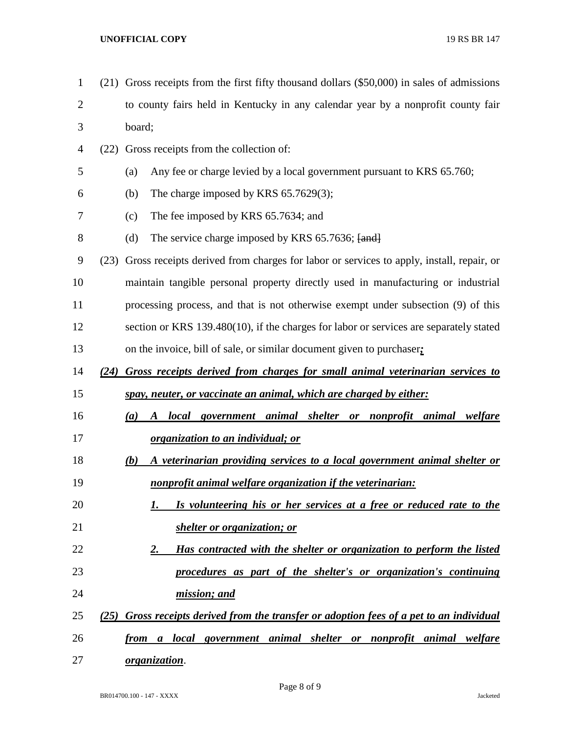## **UNOFFICIAL COPY** 19 RS BR 147

| $\mathbf{1}$ |      | (21) Gross receipts from the first fifty thousand dollars (\$50,000) in sales of admissions |  |  |  |
|--------------|------|---------------------------------------------------------------------------------------------|--|--|--|
| 2            |      | to county fairs held in Kentucky in any calendar year by a nonprofit county fair            |  |  |  |
| 3            |      | board;                                                                                      |  |  |  |
| 4            | (22) | Gross receipts from the collection of:                                                      |  |  |  |
| 5            |      | Any fee or charge levied by a local government pursuant to KRS 65.760;<br>(a)               |  |  |  |
| 6            |      | The charge imposed by KRS $65.7629(3)$ ;<br>(b)                                             |  |  |  |
| 7            |      | The fee imposed by KRS 65.7634; and<br>(c)                                                  |  |  |  |
| 8            |      | (d)<br>The service charge imposed by KRS 65.7636; [and]                                     |  |  |  |
| 9            | (23) | Gross receipts derived from charges for labor or services to apply, install, repair, or     |  |  |  |
| 10           |      | maintain tangible personal property directly used in manufacturing or industrial            |  |  |  |
| 11           |      | processing process, and that is not otherwise exempt under subsection (9) of this           |  |  |  |
| 12           |      | section or KRS 139.480(10), if the charges for labor or services are separately stated      |  |  |  |
| 13           |      | on the invoice, bill of sale, or similar document given to purchaser;                       |  |  |  |
| 14           | (24) | Gross receipts derived from charges for small animal veterinarian services to               |  |  |  |
| 15           |      | spay, neuter, or vaccinate an animal, which are charged by either:                          |  |  |  |
| 16           |      | local government animal shelter or nonprofit animal welfare<br>(a)<br>A                     |  |  |  |
| 17           |      | <u>organization to an individual; or</u>                                                    |  |  |  |
| 18           |      | A veterinarian providing services to a local government animal shelter or<br>(b)            |  |  |  |
| 19           |      | nonprofit animal welfare organization if the veterinarian:                                  |  |  |  |
| 20           |      | Is volunteering his or her services at a free or reduced rate to the                        |  |  |  |
| 21           |      | shelter or organization; or                                                                 |  |  |  |
| 22           |      | Has contracted with the shelter or organization to perform the listed<br>2.                 |  |  |  |
| 23           |      | procedures as part of the shelter's or organization's continuing                            |  |  |  |
| 24           |      | mission; and                                                                                |  |  |  |
| 25           |      | (25) Gross receipts derived from the transfer or adoption fees of a pet to an individual    |  |  |  |
| 26           |      | <u>from a local government animal shelter or nonprofit animal welfare</u>                   |  |  |  |
| 27           |      | <u>organization</u> .                                                                       |  |  |  |

Page 8 of 9